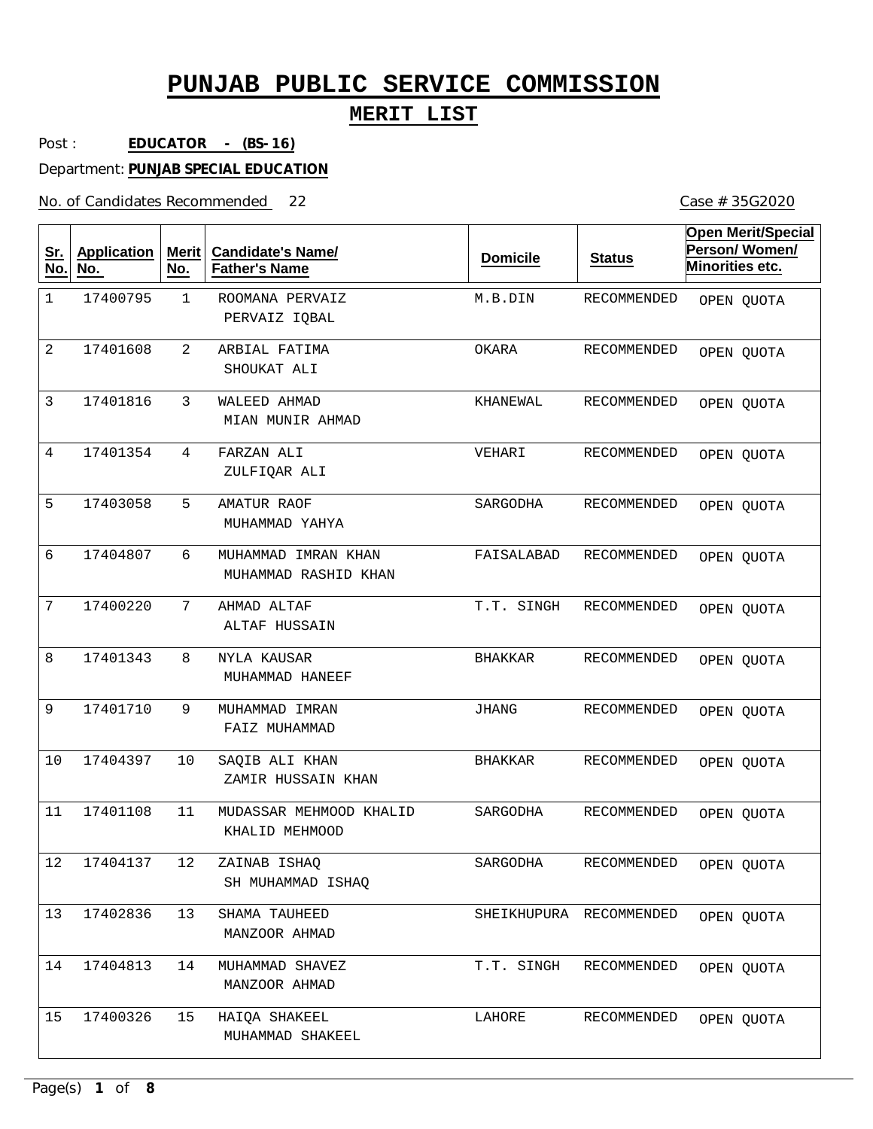### **MERIT LIST**

Case # 35G2020

Post : **EDUCATOR - (BS-16)**

Department: **PUNJAB SPECIAL EDUCATION**

No. of Candidates Recommended

| <u>Sr.</u><br>No. | <b>Application</b><br>No. | <b>Merit</b><br>No. | <b>Candidate's Name/</b><br><b>Father's Name</b> | <b>Domicile</b> | <b>Status</b>           | <b>Open Merit/Special</b><br>Person/Women/<br>Minorities etc. |
|-------------------|---------------------------|---------------------|--------------------------------------------------|-----------------|-------------------------|---------------------------------------------------------------|
| 1                 | 17400795                  | $\mathbf{1}$        | ROOMANA PERVAIZ<br>PERVAIZ IQBAL                 | M.B.DIN         | <b>RECOMMENDED</b>      | OPEN QUOTA                                                    |
| 2                 | 17401608                  | 2                   | ARBIAL FATIMA<br>SHOUKAT ALI                     | OKARA           | RECOMMENDED             | OPEN QUOTA                                                    |
| 3                 | 17401816                  | 3                   | WALEED AHMAD<br>MIAN MUNIR AHMAD                 | KHANEWAL        | RECOMMENDED             | OPEN QUOTA                                                    |
| 4                 | 17401354                  | 4                   | FARZAN ALI<br>ZULFIQAR ALI                       | VEHARI          | RECOMMENDED             | OPEN QUOTA                                                    |
| 5                 | 17403058                  | 5                   | AMATUR RAOF<br>MUHAMMAD YAHYA                    | SARGODHA        | RECOMMENDED             | OPEN QUOTA                                                    |
| 6                 | 17404807                  | 6                   | MUHAMMAD IMRAN KHAN<br>MUHAMMAD RASHID KHAN      | FAISALABAD      | RECOMMENDED             | OPEN QUOTA                                                    |
| 7                 | 17400220                  | 7                   | AHMAD ALTAF<br>ALTAF HUSSAIN                     | T.T. SINGH      | RECOMMENDED             | OPEN QUOTA                                                    |
| 8                 | 17401343                  | 8                   | NYLA KAUSAR<br>MUHAMMAD HANEEF                   | <b>BHAKKAR</b>  | RECOMMENDED             | OPEN QUOTA                                                    |
| 9                 | 17401710                  | 9                   | MUHAMMAD IMRAN<br>FAIZ MUHAMMAD                  | JHANG           | RECOMMENDED             | OPEN QUOTA                                                    |
| 10                | 17404397                  | 10                  | SAQIB ALI KHAN<br>ZAMIR HUSSAIN KHAN             | <b>BHAKKAR</b>  | RECOMMENDED             | OPEN QUOTA                                                    |
| 11                | 17401108                  | 11                  | MUDASSAR MEHMOOD KHALID<br>KHALID MEHMOOD        | SARGODHA        | RECOMMENDED             | OPEN QUOTA                                                    |
| $1\,2$            | 17404137                  | 12                  | ZAINAB ISHAQ<br>SH MUHAMMAD ISHAQ                | SARGODHA        | RECOMMENDED             | OPEN QUOTA                                                    |
| 13                | 17402836                  | 13                  | SHAMA TAUHEED<br>MANZOOR AHMAD                   |                 | SHEIKHUPURA RECOMMENDED | OPEN QUOTA                                                    |
| 14                | 17404813                  | 14                  | MUHAMMAD SHAVEZ<br>MANZOOR AHMAD                 | T.T. SINGH      | RECOMMENDED             | OPEN QUOTA                                                    |
| 15                | 17400326                  | 15                  | HAIQA SHAKEEL<br>MUHAMMAD SHAKEEL                | LAHORE          | RECOMMENDED             | OPEN QUOTA                                                    |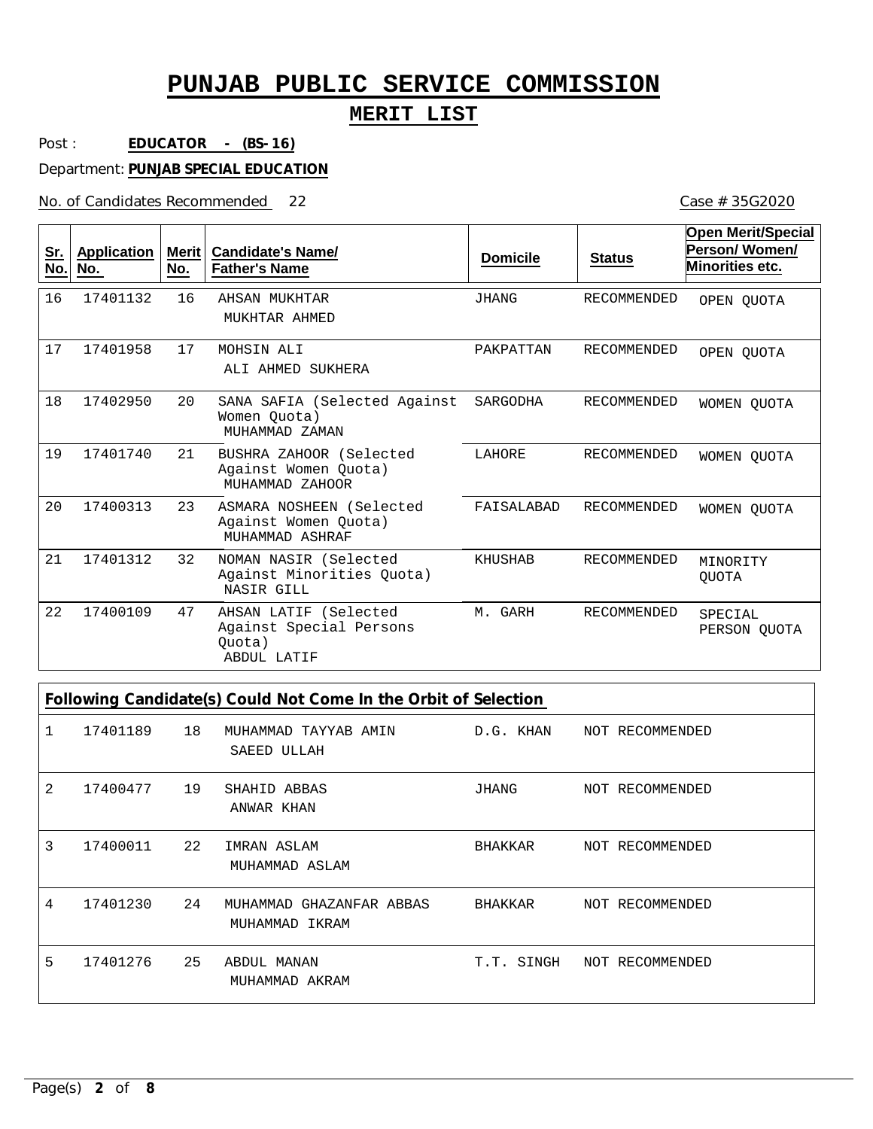### **MERIT LIST**

Post : **EDUCATOR - (BS-16)**

Department: **PUNJAB SPECIAL EDUCATION**

No. of Candidates Recommended

16

**Sr. No.**

17

18

19

20

21

22

| <u>Sr.</u><br>No. | <b>Application</b><br>No. | Merit <b>I</b><br>No. | <b>Candidate's Name/</b><br><b>Father's Name</b>                          | <b>Domicile</b> | <b>Status</b>      | <b>Open Merit/Special</b><br>Person/Women/<br>Minorities etc. |
|-------------------|---------------------------|-----------------------|---------------------------------------------------------------------------|-----------------|--------------------|---------------------------------------------------------------|
| 16                | 17401132                  | 16                    | AHSAN MUKHTAR<br>MUKHTAR AHMED                                            | <b>JHANG</b>    | RECOMMENDED        | OPEN OUOTA                                                    |
| 17                | 17401958                  | 17                    | MOHSIN ALI<br>ALI AHMED SUKHERA                                           | PAKPATTAN       | <b>RECOMMENDED</b> | OPEN OUOTA                                                    |
| 18                | 17402950                  | 20                    | SANA SAFIA (Selected Against<br>Women Ouota)<br>MUHAMMAD ZAMAN            | SARGODHA        | <b>RECOMMENDED</b> | WOMEN OUOTA                                                   |
| 19                | 17401740                  | 21                    | BUSHRA ZAHOOR (Selected<br>Against Women Ouota)<br>MUHAMMAD ZAHOOR        | LAHORE          | RECOMMENDED        | WOMEN QUOTA                                                   |
| 20                | 17400313                  | 23                    | ASMARA NOSHEEN (Selected<br>Against Women Quota)<br>MUHAMMAD ASHRAF       | FAISALABAD      | <b>RECOMMENDED</b> | WOMEN OUOTA                                                   |
| 21                | 17401312                  | 32                    | NOMAN NASIR (Selected<br>Against Minorities Quota)<br>NASIR GILL          | KHUSHAB         | <b>RECOMMENDED</b> | MINORITY<br><b>QUOTA</b>                                      |
| 22                | 17400109                  | 47                    | AHSAN LATIF (Selected<br>Against Special Persons<br>Ouota)<br>ABDUL LATIF | M. GARH         | <b>RECOMMENDED</b> | SPECIAL<br>PERSON QUOTA                                       |
|                   |                           |                       |                                                                           |                 |                    |                                                               |
|                   |                           |                       | Following Candidate(s) Could Not Come In the Orbit of Selection           |                 |                    |                                                               |

|   | 17401189 | 18 | MUHAMMAD TAYYAB AMIN<br>SAEED ULLAH        |            | D.G. KHAN NOT RECOMMENDED |
|---|----------|----|--------------------------------------------|------------|---------------------------|
| 2 | 17400477 | 19 | SHAHID ABBAS<br>ANWAR KHAN                 | JHANG      | NOT RECOMMENDED           |
| 3 | 17400011 | 22 | IMRAN ASLAM<br>MUHAMMAD ASLAM              | BHAKKAR    | NOT RECOMMENDED           |
| 4 | 17401230 | 24 | MUHAMMAD GHAZANFAR ABBAS<br>MUHAMMAD IKRAM |            | BHAKKAR NOT RECOMMENDED   |
| 5 | 17401276 | 25 | ABDUL MANAN<br>MUHAMMAD AKRAM              | T.T. SINGH | NOT RECOMMENDED           |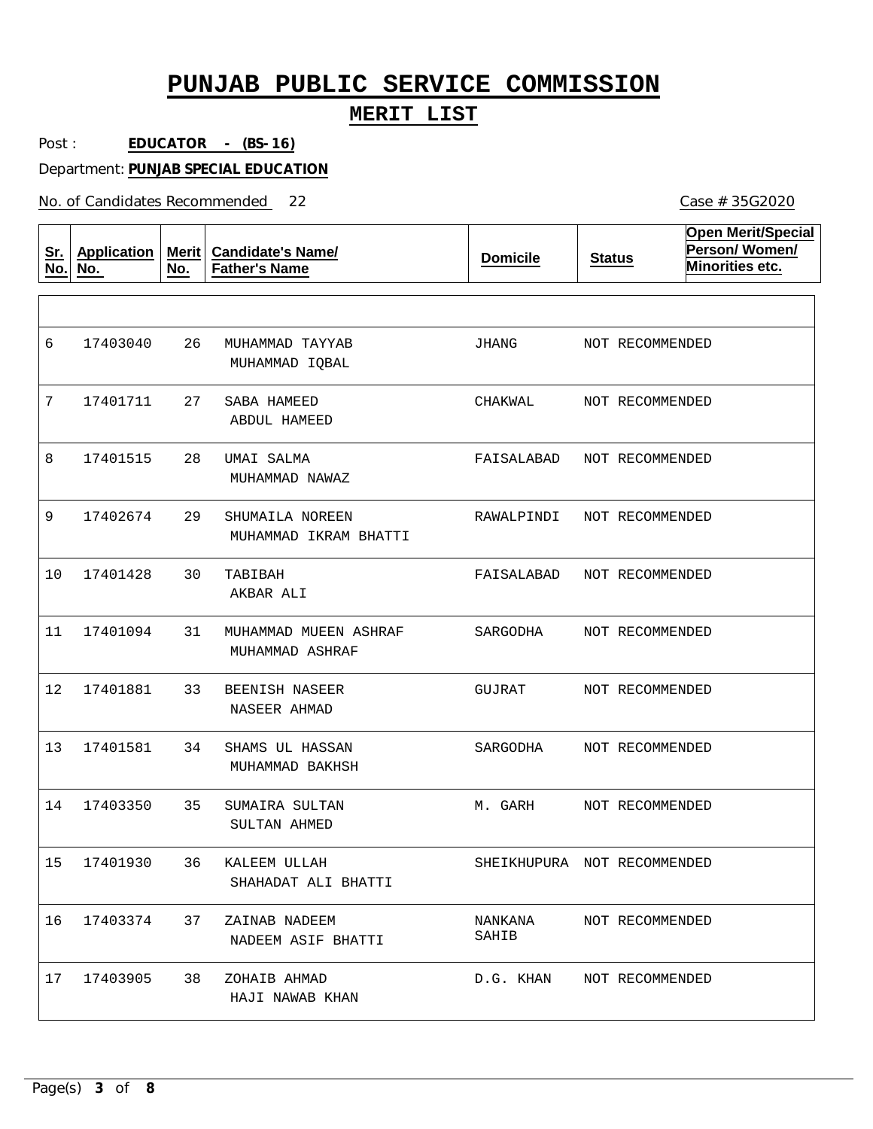### **MERIT LIST**

Post : **EDUCATOR - (BS-16)**

Department: **PUNJAB SPECIAL EDUCATION**

No. of Candidates Recommended

| <u>Sr.</u><br>No. | <b>Application</b><br>No. | Merit<br>No. | <b>Candidate's Name/</b><br><b>Father's Name</b> | <b>Domicile</b>             | <b>Status</b>   | <b>Open Merit/Special</b><br>Person/Women/<br>Minorities etc. |
|-------------------|---------------------------|--------------|--------------------------------------------------|-----------------------------|-----------------|---------------------------------------------------------------|
|                   |                           |              |                                                  |                             |                 |                                                               |
| 6                 | 17403040                  | 26           | MUHAMMAD TAYYAB<br>MUHAMMAD IQBAL                | JHANG                       | NOT RECOMMENDED |                                                               |
| 7                 | 17401711                  | 27           | SABA HAMEED<br>ABDUL HAMEED                      | CHAKWAL                     | NOT RECOMMENDED |                                                               |
| 8                 | 17401515                  | 28           | UMAI SALMA<br>MUHAMMAD NAWAZ                     | FAISALABAD                  | NOT RECOMMENDED |                                                               |
| 9                 | 17402674                  | 29           | SHUMAILA NOREEN<br>MUHAMMAD IKRAM BHATTI         | RAWALPINDI                  | NOT RECOMMENDED |                                                               |
| 10                | 17401428                  | 30           | TABIBAH<br>AKBAR ALI                             | FAISALABAD                  | NOT RECOMMENDED |                                                               |
| 11                | 17401094                  | 31           | MUHAMMAD MUEEN ASHRAF<br>MUHAMMAD ASHRAF         | SARGODHA                    | NOT RECOMMENDED |                                                               |
| 12                | 17401881                  | 33           | BEENISH NASEER<br>NASEER AHMAD                   | GUJRAT                      | NOT RECOMMENDED |                                                               |
| 13                | 17401581                  | 34           | SHAMS UL HASSAN<br>MUHAMMAD BAKHSH               | SARGODHA                    | NOT RECOMMENDED |                                                               |
| 14                | 17403350                  | 35           | SUMAIRA SULTAN<br>SULTAN AHMED                   | M. GARH                     | NOT RECOMMENDED |                                                               |
| 15                | 17401930                  | 36           | KALEEM ULLAH<br>SHAHADAT ALI BHATTI              | SHEIKHUPURA NOT RECOMMENDED |                 |                                                               |
| 16                | 17403374                  | 37           | ZAINAB NADEEM<br>NADEEM ASIF BHATTI              | NANKANA<br>SAHIB            | NOT RECOMMENDED |                                                               |
| 17                | 17403905                  | 38           | ZOHAIB AHMAD<br>HAJI NAWAB KHAN                  | D.G. KHAN                   | NOT RECOMMENDED |                                                               |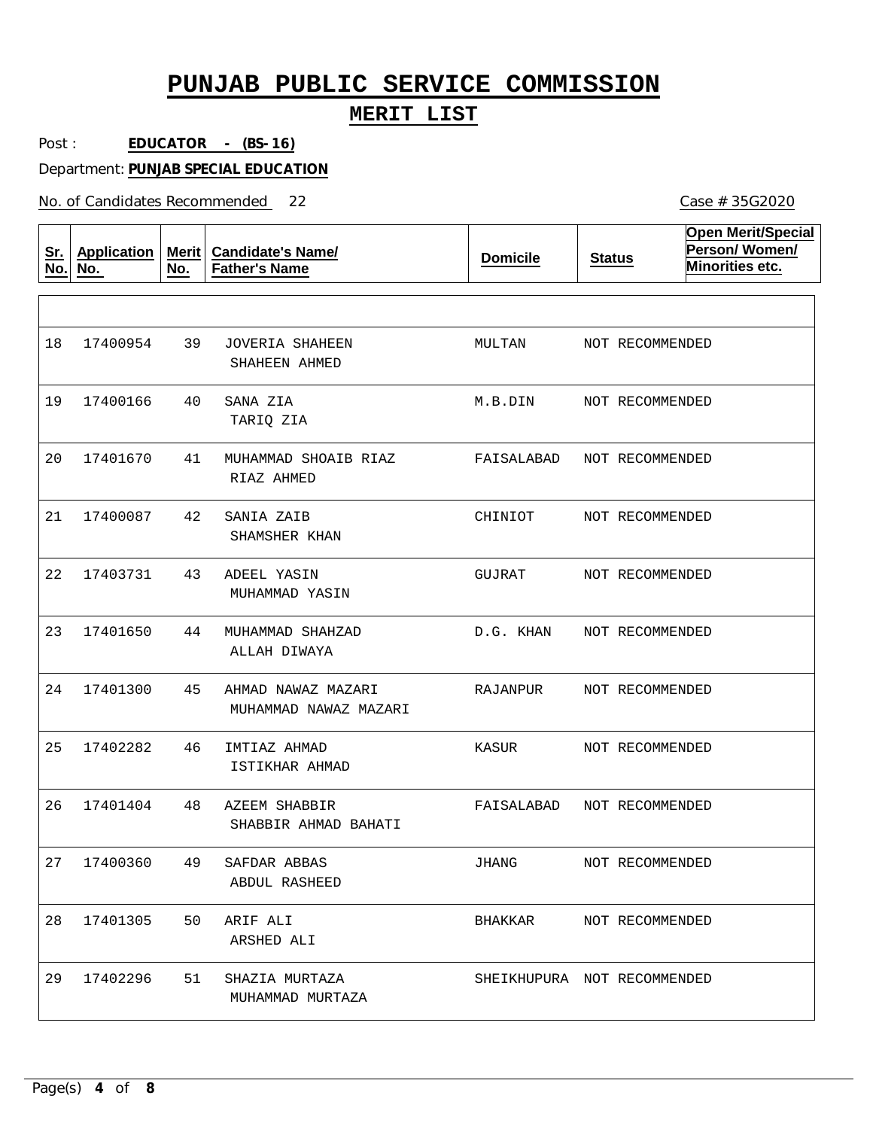### **MERIT LIST**

Post : **EDUCATOR - (BS-16)**

Department: **PUNJAB SPECIAL EDUCATION**

No. of Candidates Recommended

| <u>Sr.</u><br>No. | <b>Application</b><br>No. | Merit<br>No. | <b>Candidate's Name/</b><br><b>Father's Name</b> | <b>Domicile</b>             | <b>Status</b>   | <b>Open Merit/Special</b><br>Person/Women/<br>Minorities etc. |
|-------------------|---------------------------|--------------|--------------------------------------------------|-----------------------------|-----------------|---------------------------------------------------------------|
|                   |                           |              |                                                  |                             |                 |                                                               |
| 18                | 17400954                  | 39           | JOVERIA SHAHEEN<br>SHAHEEN AHMED                 | MULTAN                      | NOT RECOMMENDED |                                                               |
| 19                | 17400166                  | 40           | SANA ZIA<br>TARIO ZIA                            | M.B.DIN                     | NOT RECOMMENDED |                                                               |
| 20                | 17401670                  | 41           | MUHAMMAD SHOAIB RIAZ<br>RIAZ AHMED               | FAISALABAD                  | NOT RECOMMENDED |                                                               |
| 21                | 17400087                  | 42           | SANIA ZAIB<br>SHAMSHER KHAN                      | CHINIOT                     | NOT RECOMMENDED |                                                               |
| 22                | 17403731                  | 43           | ADEEL YASIN<br>MUHAMMAD YASIN                    | GUJRAT                      | NOT RECOMMENDED |                                                               |
| 23                | 17401650                  | 44           | MUHAMMAD SHAHZAD<br>ALLAH DIWAYA                 | D.G. KHAN                   | NOT RECOMMENDED |                                                               |
| 24                | 17401300                  | 45           | AHMAD NAWAZ MAZARI<br>MUHAMMAD NAWAZ MAZARI      | RAJANPUR                    | NOT RECOMMENDED |                                                               |
| 25                | 17402282                  | 46           | IMTIAZ AHMAD<br><b>ISTIKHAR AHMAD</b>            | KASUR                       | NOT RECOMMENDED |                                                               |
| 26                | 17401404                  | 48           | AZEEM SHABBIR<br>SHABBIR AHMAD BAHATI            | FAISALABAD                  | NOT RECOMMENDED |                                                               |
| 27                | 17400360                  | 49           | SAFDAR ABBAS<br>ABDUL RASHEED                    | JHANG                       | NOT RECOMMENDED |                                                               |
| 28                | 17401305                  | 50           | ARIF ALI<br>ARSHED ALI                           | BHAKKAR                     | NOT RECOMMENDED |                                                               |
| 29                | 17402296                  | 51           | SHAZIA MURTAZA<br>MUHAMMAD MURTAZA               | SHEIKHUPURA NOT RECOMMENDED |                 |                                                               |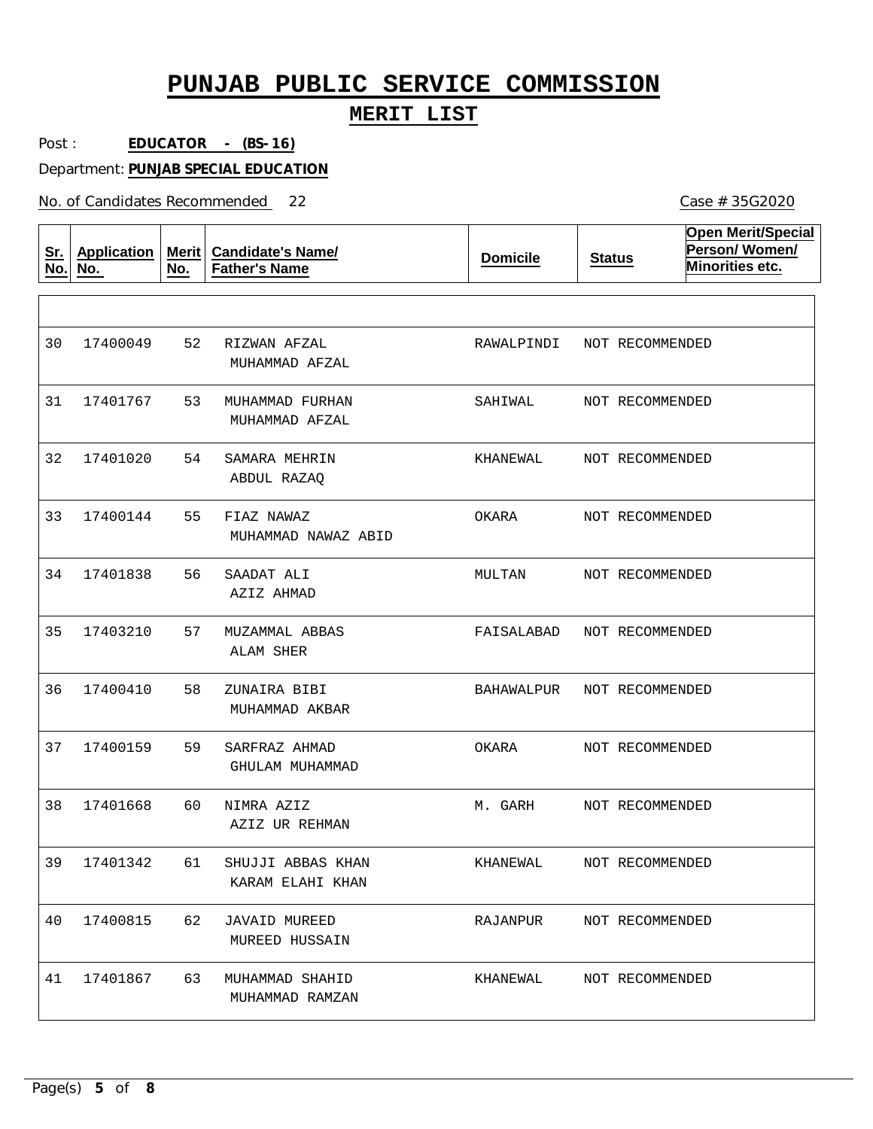### **MERIT LIST**

Post : **EDUCATOR - (BS-16)**

Department: **PUNJAB SPECIAL EDUCATION**

No. of Candidates Recommended

| <u>Sr.</u><br>No. | <b>Application</b><br>No. | Merit  <br>No. | <b>Candidate's Name/</b><br><b>Father's Name</b> | <b>Domicile</b> | <b>Status</b>   | <b>Open Merit/Special</b><br>Person/Women/<br>Minorities etc. |
|-------------------|---------------------------|----------------|--------------------------------------------------|-----------------|-----------------|---------------------------------------------------------------|
|                   |                           |                |                                                  |                 |                 |                                                               |
| 30                | 17400049                  | 52             | RIZWAN AFZAL<br>MUHAMMAD AFZAL                   | RAWALPINDI      | NOT RECOMMENDED |                                                               |
| 31                | 17401767                  | 53             | MUHAMMAD FURHAN<br>MUHAMMAD AFZAL                | SAHIWAL         | NOT RECOMMENDED |                                                               |
| 32                | 17401020                  | 54             | SAMARA MEHRIN<br>ABDUL RAZAQ                     | KHANEWAL        | NOT RECOMMENDED |                                                               |
| 33                | 17400144                  | 55             | FIAZ NAWAZ<br>MUHAMMAD NAWAZ ABID                | OKARA           | NOT RECOMMENDED |                                                               |
| 34                | 17401838                  | 56             | SAADAT ALI<br>AZIZ AHMAD                         | MULTAN          | NOT RECOMMENDED |                                                               |
| 35                | 17403210                  | 57             | MUZAMMAL ABBAS<br>ALAM SHER                      | FAISALABAD      | NOT RECOMMENDED |                                                               |
| 36                | 17400410                  | 58             | ZUNAIRA BIBI<br>MUHAMMAD AKBAR                   | BAHAWALPUR      | NOT RECOMMENDED |                                                               |
| 37                | 17400159                  | 59             | SARFRAZ AHMAD<br>GHULAM MUHAMMAD                 | OKARA           | NOT RECOMMENDED |                                                               |
| 38                | 17401668                  | 60             | NIMRA AZIZ<br>AZIZ UR REHMAN                     | M. GARH         | NOT RECOMMENDED |                                                               |
| 39                | 17401342                  | 61             | SHUJJI ABBAS KHAN<br>KARAM ELAHI KHAN            | KHANEWAL        | NOT RECOMMENDED |                                                               |
| 40                | 17400815                  | 62             | <b>JAVAID MUREED</b><br>MUREED HUSSAIN           | RAJANPUR        | NOT RECOMMENDED |                                                               |
| 41                | 17401867                  | 63             | MUHAMMAD SHAHID<br>MUHAMMAD RAMZAN               | KHANEWAL        | NOT RECOMMENDED |                                                               |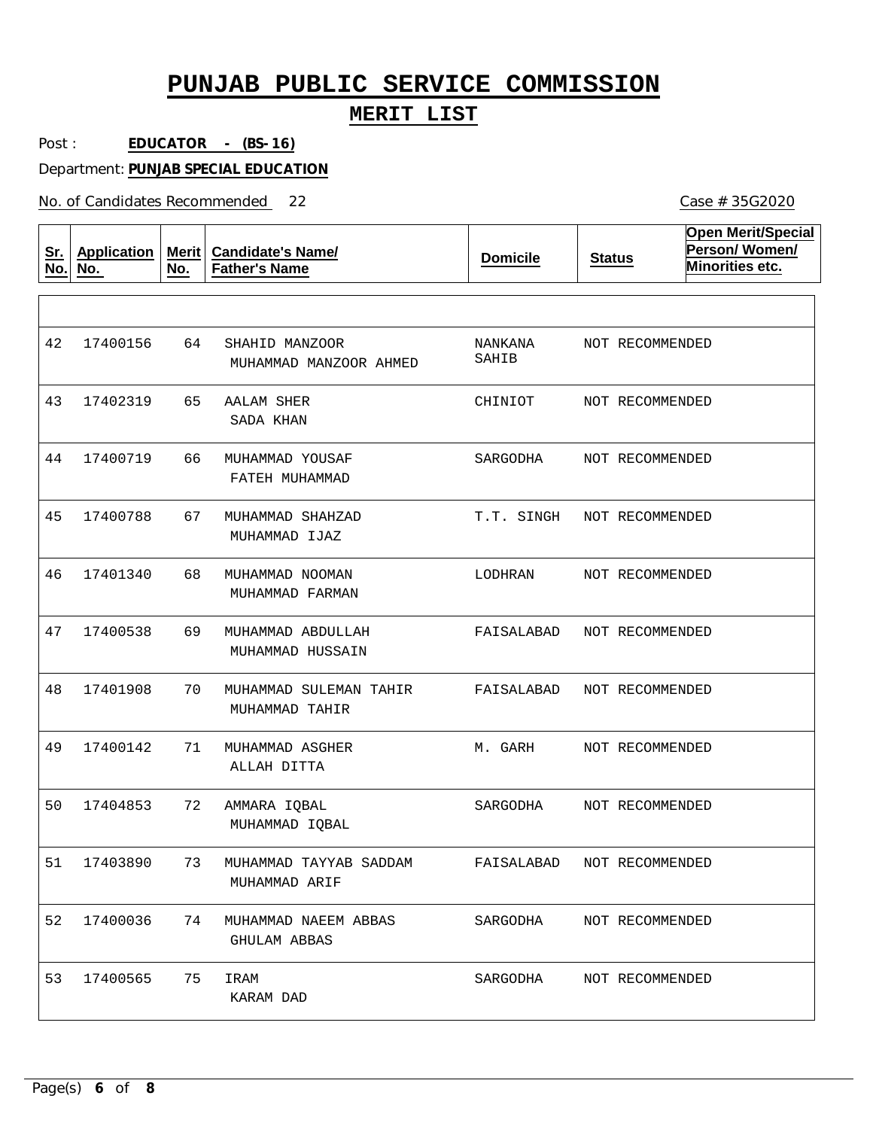### **MERIT LIST**

Case # 35G2020

Post : **EDUCATOR - (BS-16)**

Department: **PUNJAB SPECIAL EDUCATION**

No. of Candidates Recommended

| <u>Sr.</u><br>No. | <b>Application</b><br>No. | <b>Merit</b><br>No. | <b>Candidate's Name/</b><br><b>Father's Name</b> | <b>Domicile</b>  | <b>Status</b>   | <b>Open Merit/Special</b><br>Person/Women/<br>Minorities etc. |
|-------------------|---------------------------|---------------------|--------------------------------------------------|------------------|-----------------|---------------------------------------------------------------|
|                   |                           |                     |                                                  |                  |                 |                                                               |
| 42                | 17400156                  | 64                  | SHAHID MANZOOR<br>MUHAMMAD MANZOOR AHMED         | NANKANA<br>SAHIB | NOT RECOMMENDED |                                                               |
| 43                | 17402319                  | 65                  | AALAM SHER<br>SADA KHAN                          | CHINIOT          | NOT RECOMMENDED |                                                               |
| 44                | 17400719                  | 66                  | MUHAMMAD YOUSAF<br>FATEH MUHAMMAD                | SARGODHA         | NOT RECOMMENDED |                                                               |
| 45                | 17400788                  | 67                  | MUHAMMAD SHAHZAD<br>MUHAMMAD IJAZ                | T.T. SINGH       | NOT RECOMMENDED |                                                               |
| 46                | 17401340                  | 68                  | MUHAMMAD NOOMAN<br>MUHAMMAD FARMAN               | LODHRAN          | NOT RECOMMENDED |                                                               |
| 47                | 17400538                  | 69                  | MUHAMMAD ABDULLAH<br>MUHAMMAD HUSSAIN            | FAISALABAD       | NOT RECOMMENDED |                                                               |
| 48                | 17401908                  | 70                  | MUHAMMAD SULEMAN TAHIR<br>MUHAMMAD TAHIR         | FAISALABAD       | NOT RECOMMENDED |                                                               |
| 49                | 17400142                  | 71                  | MUHAMMAD ASGHER<br>ALLAH DITTA                   | M. GARH          | NOT RECOMMENDED |                                                               |
| 50                | 17404853                  | 72                  | AMMARA IQBAL<br>MUHAMMAD IQBAL                   | SARGODHA         | NOT RECOMMENDED |                                                               |
| 51                | 17403890                  | 73                  | MUHAMMAD TAYYAB SADDAM<br>MUHAMMAD ARIF          | FAISALABAD       | NOT RECOMMENDED |                                                               |
| 52                | 17400036                  | 74                  | MUHAMMAD NAEEM ABBAS<br><b>GHULAM ABBAS</b>      | SARGODHA         | NOT RECOMMENDED |                                                               |
| 53                | 17400565                  | 75                  | IRAM<br>KARAM DAD                                | SARGODHA         | NOT RECOMMENDED |                                                               |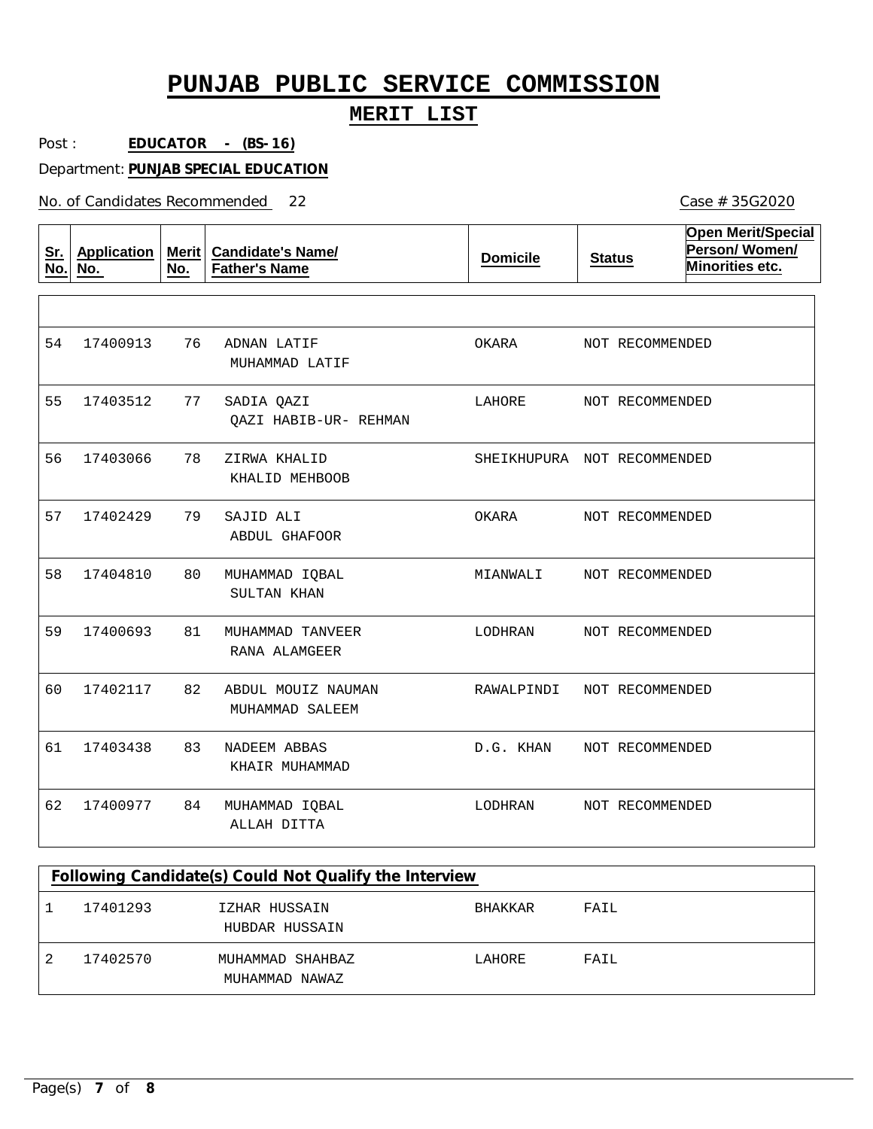### **MERIT LIST**

Post : **EDUCATOR - (BS-16)**

Department: **PUNJAB SPECIAL EDUCATION**

No. of Candidates Recommended

| <u>Sr.</u><br>No. | <b>Application</b><br>No. | <b>Merit</b><br>No. | <b>Candidate's Name/</b><br><b>Father's Name</b> | <b>Domicile</b> | <b>Status</b>               | <b>Open Merit/Special</b><br>Person/Women/<br>Minorities etc. |
|-------------------|---------------------------|---------------------|--------------------------------------------------|-----------------|-----------------------------|---------------------------------------------------------------|
|                   |                           |                     |                                                  |                 |                             |                                                               |
| 54                | 17400913                  | 76                  | ADNAN LATIF<br>MUHAMMAD LATIF                    | OKARA           | NOT RECOMMENDED             |                                                               |
| 55                | 17403512                  | 77                  | SADIA QAZI<br>QAZI HABIB-UR- REHMAN              | LAHORE          | NOT RECOMMENDED             |                                                               |
| 56                | 17403066                  | 78                  | ZIRWA KHALID<br>KHALID MEHBOOB                   |                 | SHEIKHUPURA NOT RECOMMENDED |                                                               |
| 57                | 17402429                  | 79                  | SAJID ALI<br>ABDUL GHAFOOR                       | OKARA           | NOT RECOMMENDED             |                                                               |
| 58                | 17404810                  | 80                  | MUHAMMAD IQBAL<br>SULTAN KHAN                    | MIANWALI        | NOT RECOMMENDED             |                                                               |
| 59                | 17400693                  | 81                  | MUHAMMAD TANVEER<br>RANA ALAMGEER                | LODHRAN         | NOT RECOMMENDED             |                                                               |
| 60                | 17402117                  | 82                  | ABDUL MOUIZ NAUMAN<br>MUHAMMAD SALEEM            | RAWALPINDI      | NOT RECOMMENDED             |                                                               |
| 61                | 17403438                  | 83                  | NADEEM ABBAS<br>KHAIR MUHAMMAD                   | D.G. KHAN       | NOT RECOMMENDED             |                                                               |
| 62                | 17400977                  | 84                  | MUHAMMAD IQBAL<br>ALLAH DITTA                    | LODHRAN         | NOT RECOMMENDED             |                                                               |

| Following Candidate(s) Could Not Qualify the Interview |                                    |                |      |  |  |  |  |
|--------------------------------------------------------|------------------------------------|----------------|------|--|--|--|--|
| 17401293                                               | IZHAR HUSSAIN<br>HUBDAR HUSSAIN    | <b>BHAKKAR</b> | FAIL |  |  |  |  |
| 17402570                                               | MUHAMMAD SHAHBAZ<br>MUHAMMAD NAWAZ | LAHORE         | FAIL |  |  |  |  |